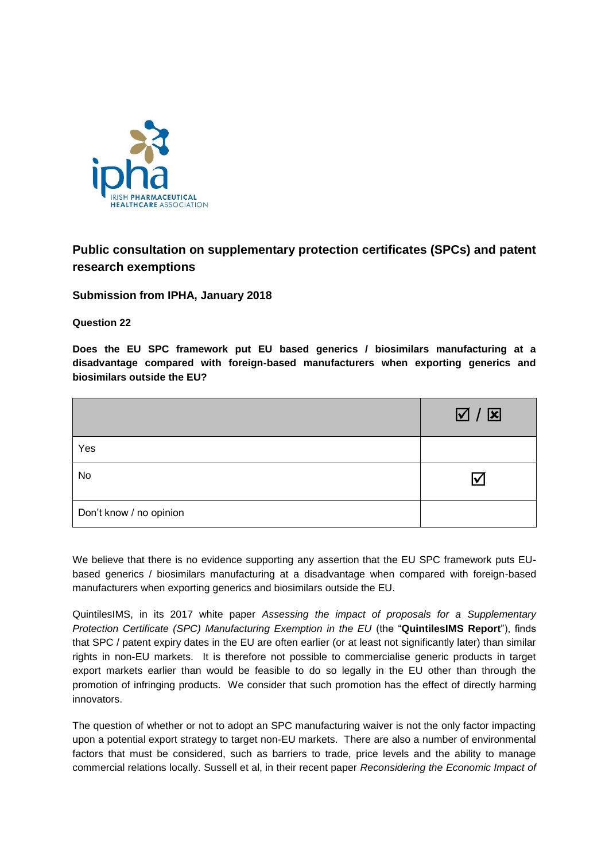

# **Public consultation on supplementary protection certificates (SPCs) and patent research exemptions**

**Submission from IPHA, January 2018**

**Question 22**

**Does the EU SPC framework put EU based generics / biosimilars manufacturing at a disadvantage compared with foreign-based manufacturers when exporting generics and biosimilars outside the EU?**

|                         | $\boxtimes$ / $\boxtimes$ |
|-------------------------|---------------------------|
| Yes                     |                           |
| No                      | I√                        |
| Don't know / no opinion |                           |

We believe that there is no evidence supporting any assertion that the EU SPC framework puts EUbased generics / biosimilars manufacturing at a disadvantage when compared with foreign-based manufacturers when exporting generics and biosimilars outside the EU.

QuintilesIMS, in its 2017 white paper *Assessing the impact of proposals for a Supplementary Protection Certificate (SPC) Manufacturing Exemption in the EU* (the "**QuintilesIMS Report**"), finds that SPC / patent expiry dates in the EU are often earlier (or at least not significantly later) than similar rights in non-EU markets. It is therefore not possible to commercialise generic products in target export markets earlier than would be feasible to do so legally in the EU other than through the promotion of infringing products. We consider that such promotion has the effect of directly harming innovators.

The question of whether or not to adopt an SPC manufacturing waiver is not the only factor impacting upon a potential export strategy to target non-EU markets. There are also a number of environmental factors that must be considered, such as barriers to trade, price levels and the ability to manage commercial relations locally. Sussell et al, in their recent paper *Reconsidering the Economic Impact of*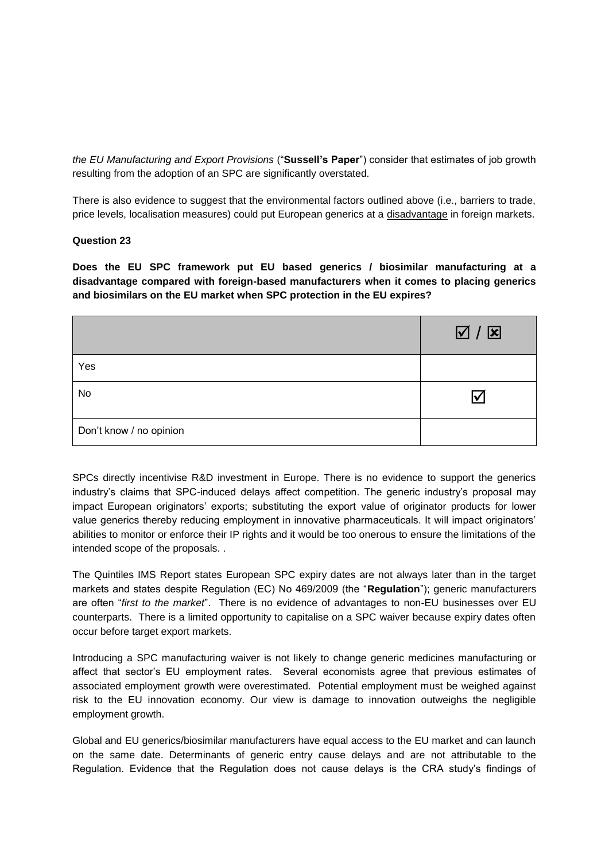*the EU Manufacturing and Export Provisions* ("**Sussell's Paper**") consider that estimates of job growth resulting from the adoption of an SPC are significantly overstated*.*

There is also evidence to suggest that the environmental factors outlined above (i.e., barriers to trade, price levels, localisation measures) could put European generics at a disadvantage in foreign markets.

## **Question 23**

**Does the EU SPC framework put EU based generics / biosimilar manufacturing at a disadvantage compared with foreign-based manufacturers when it comes to placing generics and biosimilars on the EU market when SPC protection in the EU expires?**

|                         | $\Delta \setminus \mathbf{Z}$ |
|-------------------------|-------------------------------|
| Yes                     |                               |
| No                      |                               |
| Don't know / no opinion |                               |

SPCs directly incentivise R&D investment in Europe. There is no evidence to support the generics industry's claims that SPC-induced delays affect competition. The generic industry's proposal may impact European originators' exports; substituting the export value of originator products for lower value generics thereby reducing employment in innovative pharmaceuticals. It will impact originators' abilities to monitor or enforce their IP rights and it would be too onerous to ensure the limitations of the intended scope of the proposals. .

The Quintiles IMS Report states European SPC expiry dates are not always later than in the target markets and states despite Regulation (EC) No 469/2009 (the "**Regulation**"); generic manufacturers are often "*first to the market*". There is no evidence of advantages to non-EU businesses over EU counterparts. There is a limited opportunity to capitalise on a SPC waiver because expiry dates often occur before target export markets.

Introducing a SPC manufacturing waiver is not likely to change generic medicines manufacturing or affect that sector's EU employment rates. Several economists agree that previous estimates of associated employment growth were overestimated. Potential employment must be weighed against risk to the EU innovation economy. Our view is damage to innovation outweighs the negligible employment growth.

Global and EU generics/biosimilar manufacturers have equal access to the EU market and can launch on the same date. Determinants of generic entry cause delays and are not attributable to the Regulation. Evidence that the Regulation does not cause delays is the CRA study's findings of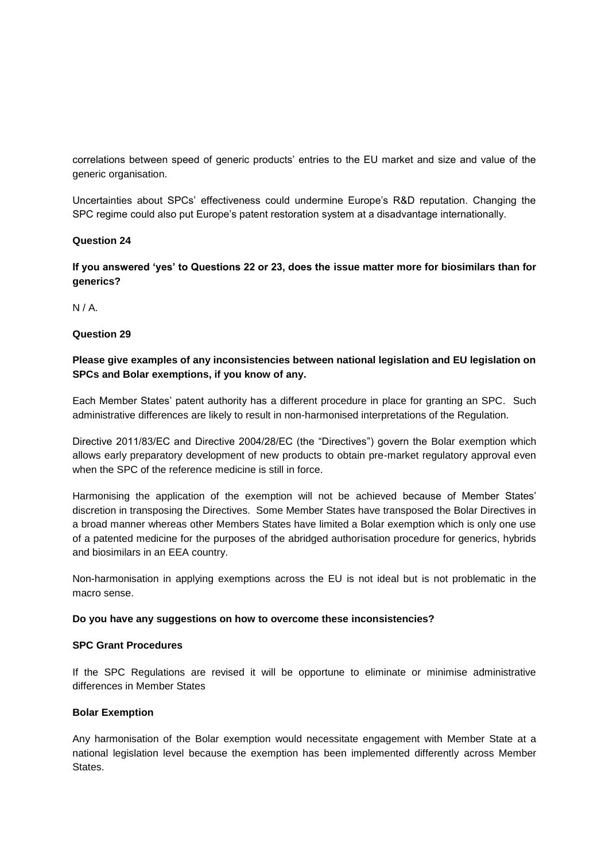correlations between speed of generic products' entries to the EU market and size and value of the generic organisation.

Uncertainties about SPCs' effectiveness could undermine Europe's R&D reputation. Changing the SPC regime could also put Europe's patent restoration system at a disadvantage internationally.

## **Question 24**

**If you answered 'yes' to Questions 22 or 23, does the issue matter more for biosimilars than for generics?**

N / A.

## **Question 29**

## **Please give examples of any inconsistencies between national legislation and EU legislation on SPCs and Bolar exemptions, if you know of any.**

Each Member States' patent authority has a different procedure in place for granting an SPC. Such administrative differences are likely to result in non-harmonised interpretations of the Regulation.

Directive 2011/83/EC and Directive 2004/28/EC (the "Directives") govern the Bolar exemption which allows early preparatory development of new products to obtain pre-market regulatory approval even when the SPC of the reference medicine is still in force.

Harmonising the application of the exemption will not be achieved because of Member States' discretion in transposing the Directives. Some Member States have transposed the Bolar Directives in a broad manner whereas other Members States have limited a Bolar exemption which is only one use of a patented medicine for the purposes of the abridged authorisation procedure for generics, hybrids and biosimilars in an EEA country.

Non-harmonisation in applying exemptions across the EU is not ideal but is not problematic in the macro sense.

#### **Do you have any suggestions on how to overcome these inconsistencies?**

#### **SPC Grant Procedures**

If the SPC Regulations are revised it will be opportune to eliminate or minimise administrative differences in Member States

#### **Bolar Exemption**

Any harmonisation of the Bolar exemption would necessitate engagement with Member State at a national legislation level because the exemption has been implemented differently across Member States.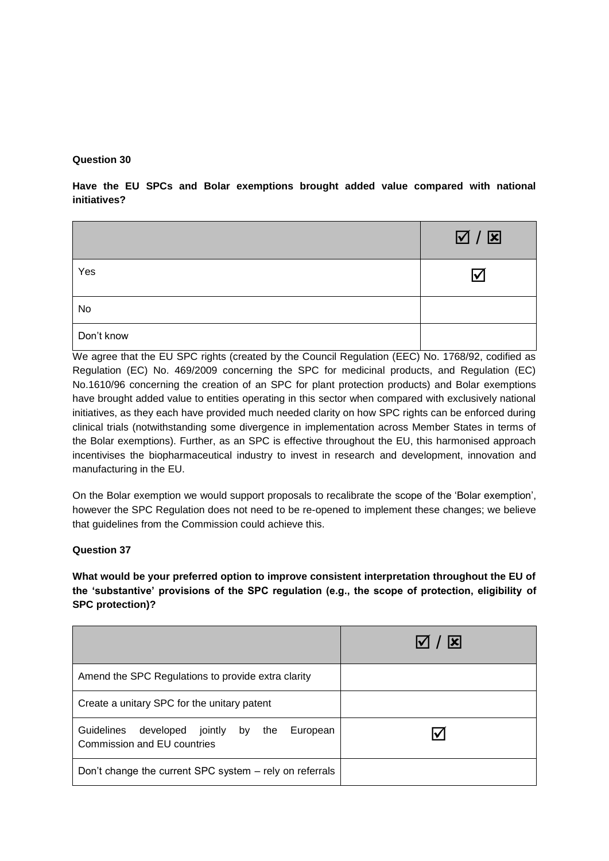## **Question 30**

**Have the EU SPCs and Bolar exemptions brought added value compared with national initiatives?**

|            | $\boxtimes$ / $\boxtimes$ |
|------------|---------------------------|
| Yes        | M                         |
| No         |                           |
| Don't know |                           |

We agree that the EU SPC rights (created by the Council Regulation (EEC) No. 1768/92, codified as Regulation (EC) No. 469/2009 concerning the SPC for medicinal products, and Regulation (EC) No.1610/96 concerning the creation of an SPC for plant protection products) and Bolar exemptions have brought added value to entities operating in this sector when compared with exclusively national initiatives, as they each have provided much needed clarity on how SPC rights can be enforced during clinical trials (notwithstanding some divergence in implementation across Member States in terms of the Bolar exemptions). Further, as an SPC is effective throughout the EU, this harmonised approach incentivises the biopharmaceutical industry to invest in research and development, innovation and manufacturing in the EU.

On the Bolar exemption we would support proposals to recalibrate the scope of the 'Bolar exemption', however the SPC Regulation does not need to be re-opened to implement these changes; we believe that guidelines from the Commission could achieve this.

## **Question 37**

**What would be your preferred option to improve consistent interpretation throughout the EU of the 'substantive' provisions of the SPC regulation (e.g., the scope of protection, eligibility of SPC protection)?**

|                                                                                   | $\sqrt{ x }$ |
|-----------------------------------------------------------------------------------|--------------|
| Amend the SPC Regulations to provide extra clarity                                |              |
| Create a unitary SPC for the unitary patent                                       |              |
| Guidelines developed jointly by<br>European<br>the<br>Commission and EU countries |              |
| Don't change the current SPC system – rely on referrals                           |              |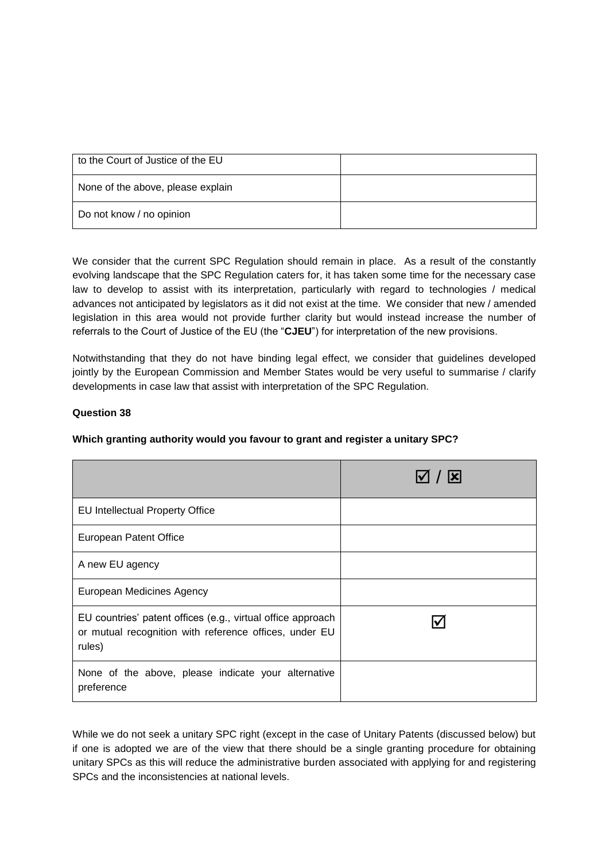| to the Court of Justice of the EU |  |
|-----------------------------------|--|
| None of the above, please explain |  |
| Do not know / no opinion          |  |

We consider that the current SPC Regulation should remain in place. As a result of the constantly evolving landscape that the SPC Regulation caters for, it has taken some time for the necessary case law to develop to assist with its interpretation, particularly with regard to technologies / medical advances not anticipated by legislators as it did not exist at the time. We consider that new / amended legislation in this area would not provide further clarity but would instead increase the number of referrals to the Court of Justice of the EU (the "**CJEU**") for interpretation of the new provisions.

Notwithstanding that they do not have binding legal effect, we consider that guidelines developed jointly by the European Commission and Member States would be very useful to summarise / clarify developments in case law that assist with interpretation of the SPC Regulation.

## **Question 38**

## **Which granting authority would you favour to grant and register a unitary SPC?**

|                                                                                                                                 | $\triangledown$ / $\triangleright$ |
|---------------------------------------------------------------------------------------------------------------------------------|------------------------------------|
| EU Intellectual Property Office                                                                                                 |                                    |
| European Patent Office                                                                                                          |                                    |
| A new EU agency                                                                                                                 |                                    |
| <b>European Medicines Agency</b>                                                                                                |                                    |
| EU countries' patent offices (e.g., virtual office approach<br>or mutual recognition with reference offices, under EU<br>rules) |                                    |
| None of the above, please indicate your alternative<br>preference                                                               |                                    |

While we do not seek a unitary SPC right (except in the case of Unitary Patents (discussed below) but if one is adopted we are of the view that there should be a single granting procedure for obtaining unitary SPCs as this will reduce the administrative burden associated with applying for and registering SPCs and the inconsistencies at national levels.